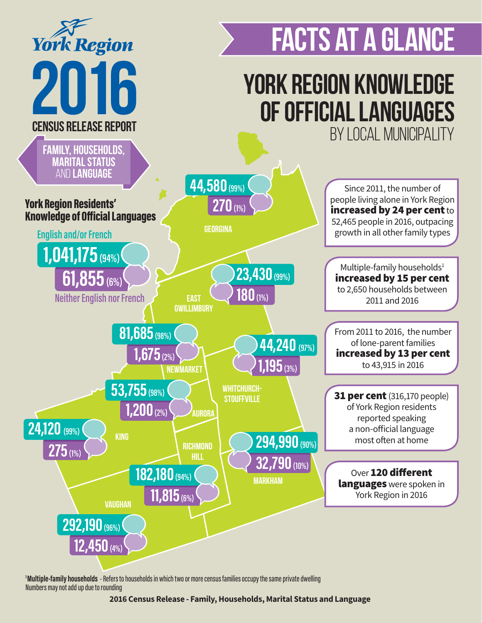

**1 Multiple-family households** - Refers to households in which two or more census families occupy the same private dwelling Numbers may not add up due to rounding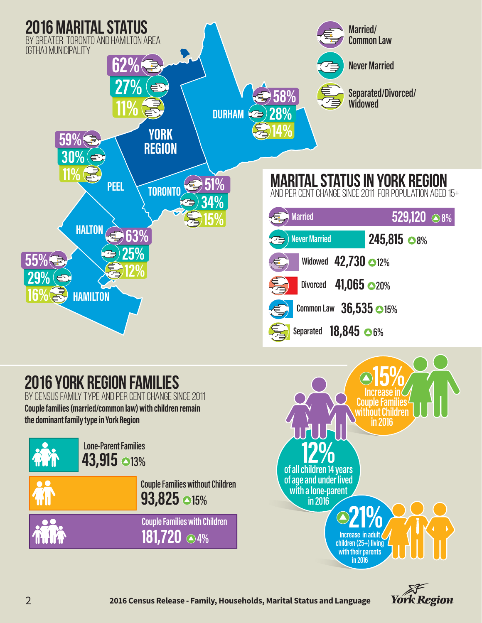

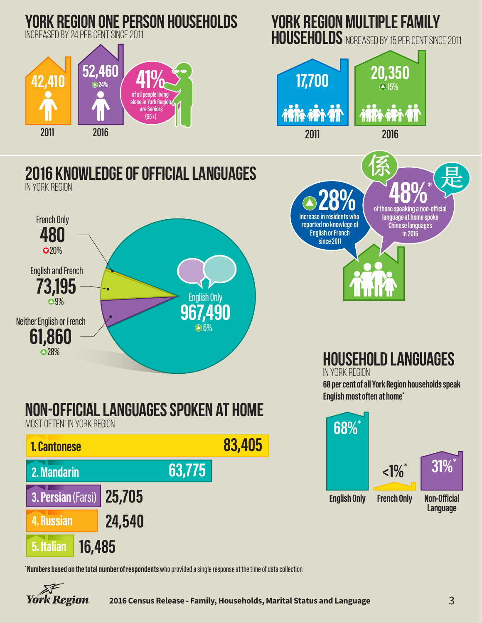

**\* Numbers based on the total number of respondents** who provided a single response at the time of data collection